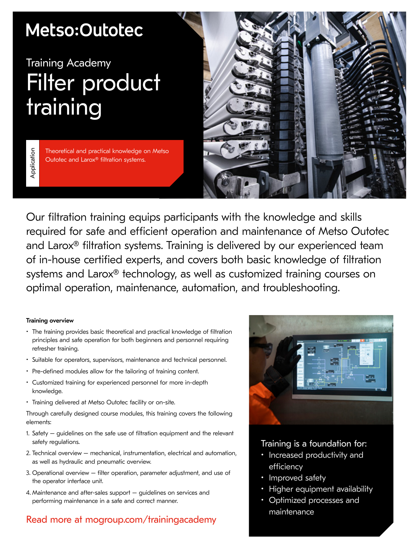## Metso:Outotec

# Training Academy Filter product training

Application Application

Theoretical and practical knowledge on Metso Outotec and Larox® filtration systems.



Our filtration training equips participants with the knowledge and skills required for safe and efficient operation and maintenance of Metso Outotec and Larox® filtration systems. Training is delivered by our experienced team of in-house certified experts, and covers both basic knowledge of filtration systems and Larox® technology, as well as customized training courses on optimal operation, maintenance, automation, and troubleshooting.

## Training overview

- The training provides basic theoretical and practical knowledge of filtration principles and safe operation for both beginners and personnel requiring refresher training.
- Suitable for operators, supervisors, maintenance and technical personnel.
- Pre-defined modules allow for the tailoring of training content.
- Customized training for experienced personnel for more in-depth knowledge.
- Training delivered at Metso Outotec facility or on-site.

Through carefully designed course modules, this training covers the following elements:

- 1. Safety guidelines on the safe use of filtration equipment and the relevant safety regulations.
- 2. Technical overview mechanical, instrumentation, electrical and automation, as well as hydraulic and pneumatic overview.
- 3. Operational overview filter operation, parameter adjustment, and use of the operator interface unit.
- 4. Maintenance and after-sales support guidelines on services and performing maintenance in a safe and correct manner.

## Read more at mogroup.com/trainingacademy



## Training is a foundation for:

- Increased productivity and efficiency
- Improved safety
- Higher equipment availability
- Optimized processes and maintenance